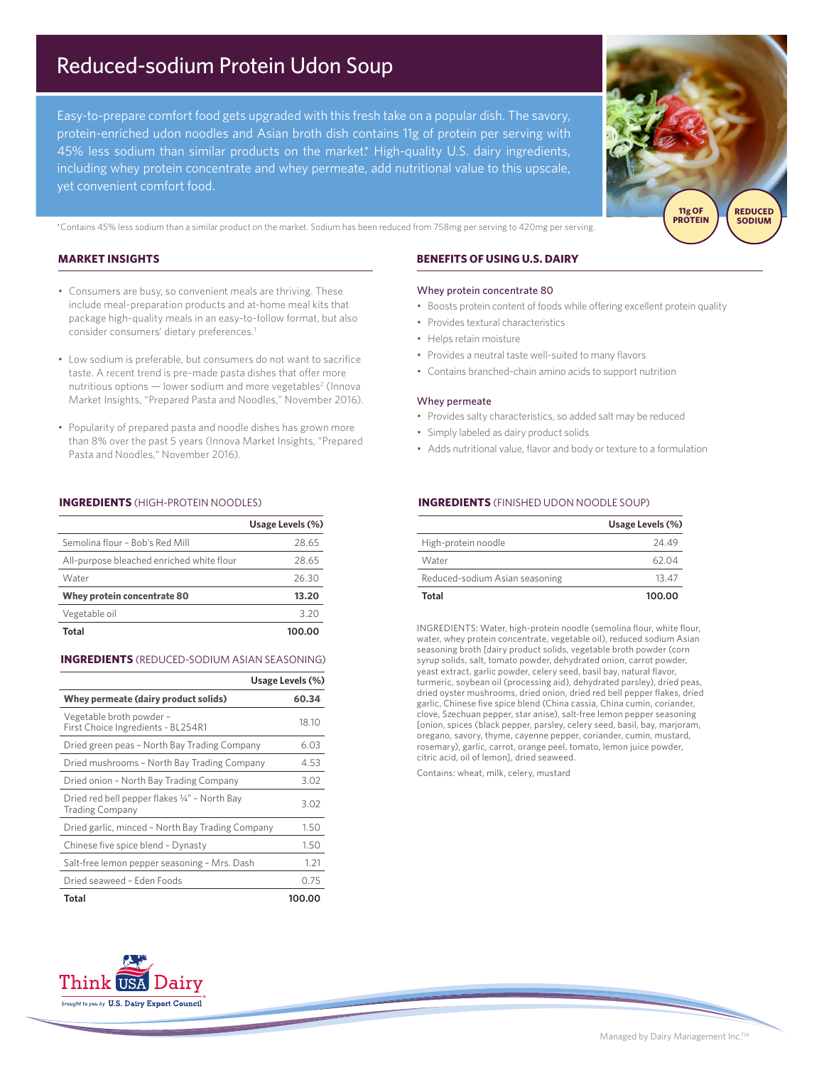# Reduced-sodium Protein Udon Soup

Easy-to-prepare comfort food gets upgraded with this fresh take on a popular dish. The savory, protein-enriched udon noodles and Asian broth dish contains 11g of protein per serving with 45% less sodium than similar products on the market.\* High-quality U.S. dairy ingredients, including whey protein concentrate and whey permeate, add nutritional value to this upscale, yet convenient comfort food.

**EXCELLENT REDUCED SOURCE OF SODIUM 11g OF PROTEIN**

\*Contains 45% less sodium than a similar product on the market. Sodium has been reduced from 758mg per serving to 420mg per serving.

## **MARKET INSIGHTS**

- Consumers are busy, so convenient meals are thriving. These include meal-preparation products and at-home meal kits that package high-quality meals in an easy-to-follow format, but also consider consumers' dietary preferences.1
- Low sodium is preferable, but consumers do not want to sacrifice taste. A recent trend is pre-made pasta dishes that offer more nutritious options - lower sodium and more vegetables<sup>2</sup> (Innova Market Insights, "Prepared Pasta and Noodles," November 2016).
- Popularity of prepared pasta and noodle dishes has grown more than 8% over the past 5 years (Innova Market Insights, "Prepared Pasta and Noodles," November 2016).

### **INGREDIENTS** (HIGH-PROTEIN NOODLES)

|                                           | Usage Levels (%) |
|-------------------------------------------|------------------|
| Semolina flour - Bob's Red Mill           | 28.65            |
| All-purpose bleached enriched white flour | 28.65            |
| Water                                     | 26.30            |
| <b>Whey protein concentrate 80</b>        | 13.20            |
| Vegetable oil                             | 3.20             |
| Total                                     | 100.00           |

### **INGREDIENTS** (REDUCED-SODIUM ASIAN SEASONING)

|                                                                         | Usage Levels (%) |
|-------------------------------------------------------------------------|------------------|
| Whey permeate (dairy product solids)                                    | 60.34            |
| Vegetable broth powder -<br>First Choice Ingredients - BL254R1          | 18.10            |
| Dried green peas - North Bay Trading Company                            | 6.03             |
| Dried mushrooms - North Bay Trading Company                             | 4.53             |
| Dried onion - North Bay Trading Company                                 | 3.02             |
| Dried red bell pepper flakes 1/4" - North Bay<br><b>Trading Company</b> | 3.02             |
| Dried garlic, minced - North Bay Trading Company                        | 1.50             |
| Chinese five spice blend - Dynasty                                      | 1.50             |
| Salt-free lemon pepper seasoning - Mrs. Dash                            | 1.21             |
| Dried seaweed - Eden Foods                                              | 0.75             |
| Total                                                                   | 100.00           |



# **BENEFITS OF USING U.S. DAIRY**

#### Whey protein concentrate 80

- Boosts protein content of foods while offering excellent protein quality
- Provides textural characteristics
- Helps retain moisture
- Provides a neutral taste well-suited to many flavors
- Contains branched-chain amino acids to support nutrition

### Whey permeate

- Provides salty characteristics, so added salt may be reduced
- Simply labeled as dairy product solids
- Adds nutritional value, flavor and body or texture to a formulation

### **INGREDIENTS** (FINISHED UDON NOODLE SOUP)

|                                | Usage Levels (%) |
|--------------------------------|------------------|
| High-protein noodle            | 24 49            |
| Water                          | 62.04            |
| Reduced-sodium Asian seasoning | 13 47            |
| Total                          | 100.00           |

INGREDIENTS: Water, high-protein noodle (semolina flour, white flour, water, whey protein concentrate, vegetable oil), reduced sodium Asian seasoning broth [dairy product solids, vegetable broth powder (corn syrup solids, salt, tomato powder, dehydrated onion, carrot powder, yeast extract, garlic powder, celery seed, basil bay, natural flavor, turmeric, soybean oil (processing aid), dehydrated parsley), dried peas, dried oyster mushrooms, dried onion, dried red bell pepper flakes, dried garlic, Chinese five spice blend (China cassia, China cumin, coriander, clove, Szechuan pepper, star anise), salt-free lemon pepper seasoning [onion, spices (black pepper, parsley, celery seed, basil, bay, marjoram, oregano, savory, thyme, cayenne pepper, coriander, cumin, mustard, rosemary), garlic, carrot, orange peel, tomato, lemon juice powder, citric acid, oil of lemon], dried seaweed.

Contains: wheat, milk, celery, mustard